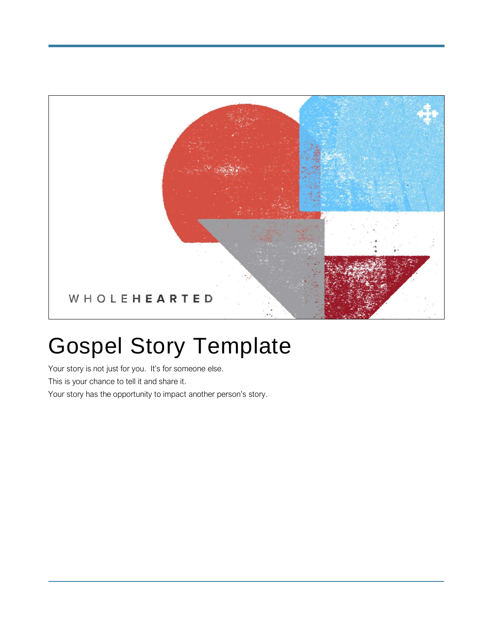

# Gospel Story Template

Your story is not just for you. It's for someone else. This is your chance to tell it and share it. Your story has the opportunity to impact another person's story.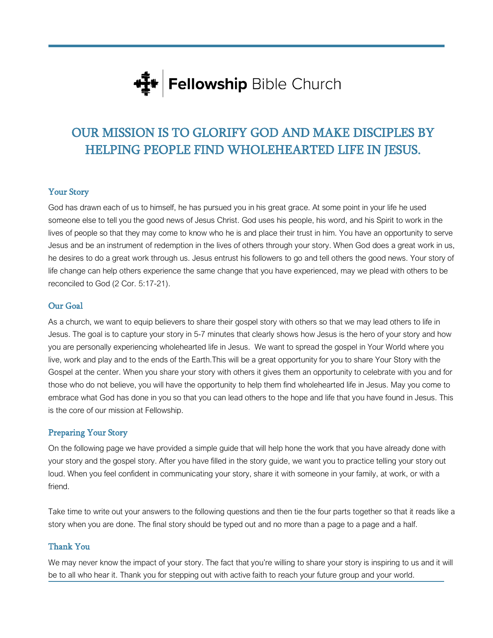

## OUR MISSION IS TO GLORIFY GOD AND MAKE DISCIPLES BY HELPING PEOPLE FIND WHOLEHEARTED LIFE IN JESUS.

#### Your Story

God has drawn each of us to himself, he has pursued you in his great grace. At some point in your life he used someone else to tell you the good news of Jesus Christ. God uses his people, his word, and his Spirit to work in the lives of people so that they may come to know who he is and place their trust in him. You have an opportunity to serve Jesus and be an instrument of redemption in the lives of others through your story. When God does a great work in us, he desires to do a great work through us. Jesus entrust his followers to go and tell others the good news. Your story of life change can help others experience the same change that you have experienced, may we plead with others to be reconciled to God (2 Cor. 5:17-21).

#### Our Goal

As a church, we want to equip believers to share their gospel story with others so that we may lead others to life in Jesus. The goal is to capture your story in 5-7 minutes that clearly shows how Jesus is the hero of your story and how you are personally experiencing wholehearted life in Jesus. We want to spread the gospel in Your World where you live, work and play and to the ends of the Earth.This will be a great opportunity for you to share Your Story with the Gospel at the center. When you share your story with others it gives them an opportunity to celebrate with you and for those who do not believe, you will have the opportunity to help them find wholehearted life in Jesus. May you come to embrace what God has done in you so that you can lead others to the hope and life that you have found in Jesus. This is the core of our mission at Fellowship.

#### Preparing Your Story

On the following page we have provided a simple guide that will help hone the work that you have already done with your story and the gospel story. After you have filled in the story guide, we want you to practice telling your story out loud. When you feel confident in communicating your story, share it with someone in your family, at work, or with a friend.

Take time to write out your answers to the following questions and then tie the four parts together so that it reads like a story when you are done. The final story should be typed out and no more than a page to a page and a half.

#### Thank You

We may never know the impact of your story. The fact that you're willing to share your story is inspiring to us and it will be to all who hear it. Thank you for stepping out with active faith to reach your future group and your world.